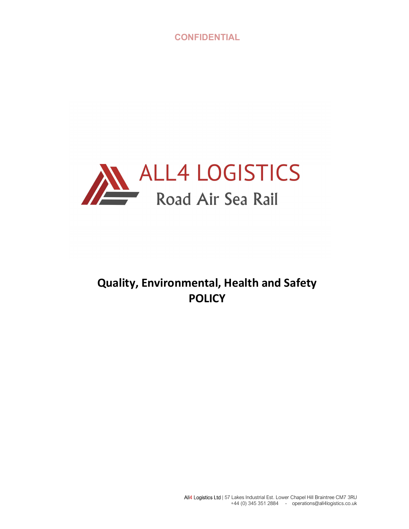**CONFIDENTIAL** 



# Quality, Environmental, Health and Safety **POLICY**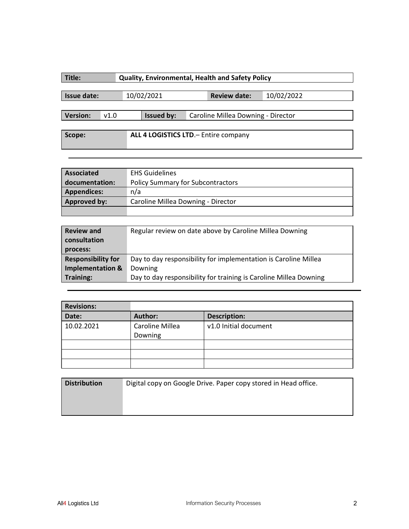| Title:                                          | <b>Quality, Environmental, Health and Safety Policy</b> |            |            |  |                                    |            |  |  |
|-------------------------------------------------|---------------------------------------------------------|------------|------------|--|------------------------------------|------------|--|--|
| Issue date:                                     |                                                         |            | 10/02/2021 |  | <b>Review date:</b>                | 10/02/2022 |  |  |
| <b>Version:</b>                                 | v1.0                                                    | Issued by: |            |  | Caroline Millea Downing - Director |            |  |  |
| ALL 4 LOGISTICS LTD. - Entire company<br>Scope: |                                                         |            |            |  |                                    |            |  |  |

| <b>Associated</b>   | <b>EHS Guidelines</b>                    |  |
|---------------------|------------------------------------------|--|
| documentation:      | <b>Policy Summary for Subcontractors</b> |  |
| <b>Appendices:</b>  | n/a                                      |  |
| <b>Approved by:</b> | Caroline Millea Downing - Director       |  |
|                     |                                          |  |

| <b>Review and</b><br>consultation<br>process: | Regular review on date above by Caroline Millea Downing           |
|-----------------------------------------------|-------------------------------------------------------------------|
| <b>Responsibility for</b>                     | Day to day responsibility for implementation is Caroline Millea   |
| <b>Implementation &amp;</b>                   | Downing                                                           |
| <b>Training:</b>                              | Day to day responsibility for training is Caroline Millea Downing |

| <b>Revisions:</b> |                            |                       |
|-------------------|----------------------------|-----------------------|
| Date:             | <b>Author:</b>             | <b>Description:</b>   |
| 10.02.2021        | Caroline Millea<br>Downing | v1.0 Initial document |
|                   |                            |                       |
|                   |                            |                       |
|                   |                            |                       |

| <b>Distribution</b><br>Digital copy on Google Drive. Paper copy stored in Head office. |  |  |  |  |  |  |
|----------------------------------------------------------------------------------------|--|--|--|--|--|--|
|                                                                                        |  |  |  |  |  |  |
|                                                                                        |  |  |  |  |  |  |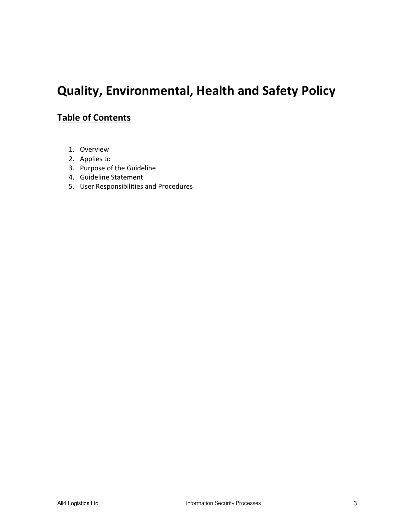# Quality, Environmental, Health and Safety Policy

# Table of Contents

- 1. Overview
- 2. Applies to
- 3. Purpose of the Guideline
- 4. Guideline Statement
- 5. User Responsibilities and Procedures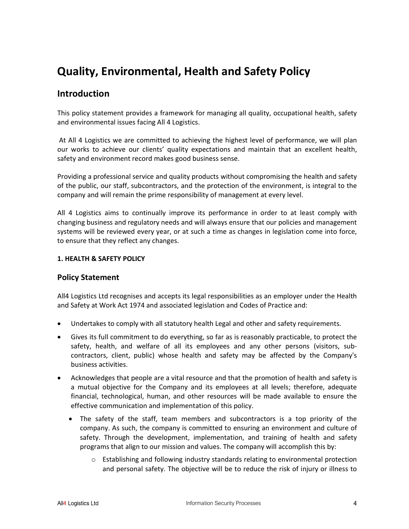# Quality, Environmental, Health and Safety Policy

## Introduction

This policy statement provides a framework for managing all quality, occupational health, safety and environmental issues facing All 4 Logistics.

 At All 4 Logistics we are committed to achieving the highest level of performance, we will plan our works to achieve our clients' quality expectations and maintain that an excellent health, safety and environment record makes good business sense.

Providing a professional service and quality products without compromising the health and safety of the public, our staff, subcontractors, and the protection of the environment, is integral to the company and will remain the prime responsibility of management at every level.

All 4 Logistics aims to continually improve its performance in order to at least comply with changing business and regulatory needs and will always ensure that our policies and management systems will be reviewed every year, or at such a time as changes in legislation come into force, to ensure that they reflect any changes.

#### 1. HEALTH & SAFETY POLICY

#### Policy Statement

All4 Logistics Ltd recognises and accepts its legal responsibilities as an employer under the Health and Safety at Work Act 1974 and associated legislation and Codes of Practice and:

- Undertakes to comply with all statutory health Legal and other and safety requirements.
- Gives its full commitment to do everything, so far as is reasonably practicable, to protect the safety, health, and welfare of all its employees and any other persons (visitors, subcontractors, client, public) whose health and safety may be affected by the Company's business activities.
- Acknowledges that people are a vital resource and that the promotion of health and safety is a mutual objective for the Company and its employees at all levels; therefore, adequate financial, technological, human, and other resources will be made available to ensure the effective communication and implementation of this policy.
	- The safety of the staff, team members and subcontractors is a top priority of the company. As such, the company is committed to ensuring an environment and culture of safety. Through the development, implementation, and training of health and safety programs that align to our mission and values. The company will accomplish this by:
		- o Establishing and following industry standards relating to environmental protection and personal safety. The objective will be to reduce the risk of injury or illness to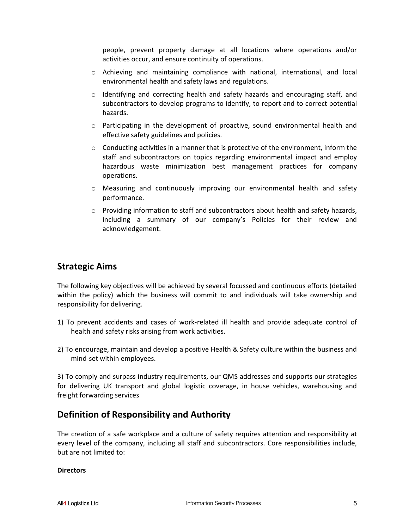people, prevent property damage at all locations where operations and/or activities occur, and ensure continuity of operations.

- o Achieving and maintaining compliance with national, international, and local environmental health and safety laws and regulations.
- o Identifying and correcting health and safety hazards and encouraging staff, and subcontractors to develop programs to identify, to report and to correct potential hazards.
- $\circ$  Participating in the development of proactive, sound environmental health and effective safety guidelines and policies.
- $\circ$  Conducting activities in a manner that is protective of the environment, inform the staff and subcontractors on topics regarding environmental impact and employ hazardous waste minimization best management practices for company operations.
- o Measuring and continuously improving our environmental health and safety performance.
- $\circ$  Providing information to staff and subcontractors about health and safety hazards, including a summary of our company's Policies for their review and acknowledgement.

## Strategic Aims

The following key objectives will be achieved by several focussed and continuous efforts (detailed within the policy) which the business will commit to and individuals will take ownership and responsibility for delivering.

- 1) To prevent accidents and cases of work-related ill health and provide adequate control of health and safety risks arising from work activities.
- 2) To encourage, maintain and develop a positive Health & Safety culture within the business and mind-set within employees.

3) To comply and surpass industry requirements, our QMS addresses and supports our strategies for delivering UK transport and global logistic coverage, in house vehicles, warehousing and freight forwarding services

## Definition of Responsibility and Authority

The creation of a safe workplace and a culture of safety requires attention and responsibility at every level of the company, including all staff and subcontractors. Core responsibilities include, but are not limited to:

#### **Directors**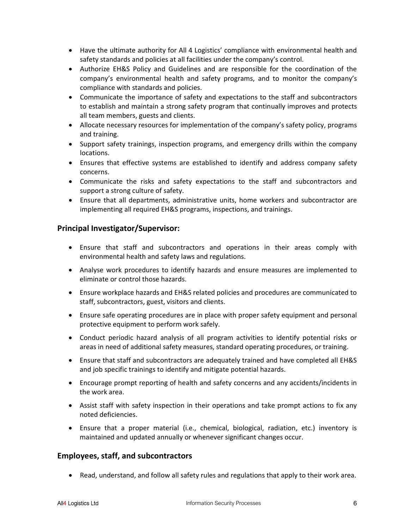- Have the ultimate authority for All 4 Logistics' compliance with environmental health and safety standards and policies at all facilities under the company's control.
- Authorize EH&S Policy and Guidelines and are responsible for the coordination of the company's environmental health and safety programs, and to monitor the company's compliance with standards and policies.
- Communicate the importance of safety and expectations to the staff and subcontractors to establish and maintain a strong safety program that continually improves and protects all team members, guests and clients.
- Allocate necessary resources for implementation of the company's safety policy, programs and training.
- Support safety trainings, inspection programs, and emergency drills within the company locations.
- Ensures that effective systems are established to identify and address company safety concerns.
- Communicate the risks and safety expectations to the staff and subcontractors and support a strong culture of safety.
- Ensure that all departments, administrative units, home workers and subcontractor are implementing all required EH&S programs, inspections, and trainings.

## Principal Investigator/Supervisor:

- Ensure that staff and subcontractors and operations in their areas comply with environmental health and safety laws and regulations.
- Analyse work procedures to identify hazards and ensure measures are implemented to eliminate or control those hazards.
- Ensure workplace hazards and EH&S related policies and procedures are communicated to staff, subcontractors, guest, visitors and clients.
- Ensure safe operating procedures are in place with proper safety equipment and personal protective equipment to perform work safely.
- Conduct periodic hazard analysis of all program activities to identify potential risks or areas in need of additional safety measures, standard operating procedures, or training.
- Ensure that staff and subcontractors are adequately trained and have completed all EH&S and job specific trainings to identify and mitigate potential hazards.
- Encourage prompt reporting of health and safety concerns and any accidents/incidents in the work area.
- Assist staff with safety inspection in their operations and take prompt actions to fix any noted deficiencies.
- Ensure that a proper material (i.e., chemical, biological, radiation, etc.) inventory is maintained and updated annually or whenever significant changes occur.

### Employees, staff, and subcontractors

Read, understand, and follow all safety rules and regulations that apply to their work area.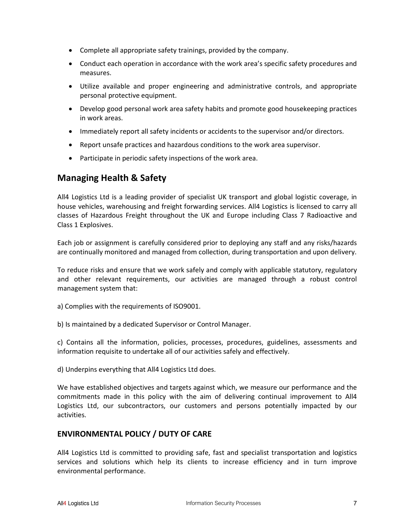- Complete all appropriate safety trainings, provided by the company.
- Conduct each operation in accordance with the work area's specific safety procedures and measures.
- Utilize available and proper engineering and administrative controls, and appropriate personal protective equipment.
- Develop good personal work area safety habits and promote good housekeeping practices in work areas.
- Immediately report all safety incidents or accidents to the supervisor and/or directors.
- Report unsafe practices and hazardous conditions to the work area supervisor.
- Participate in periodic safety inspections of the work area.

## Managing Health & Safety

All4 Logistics Ltd is a leading provider of specialist UK transport and global logistic coverage, in house vehicles, warehousing and freight forwarding services. All4 Logistics is licensed to carry all classes of Hazardous Freight throughout the UK and Europe including Class 7 Radioactive and Class 1 Explosives.

Each job or assignment is carefully considered prior to deploying any staff and any risks/hazards are continually monitored and managed from collection, during transportation and upon delivery.

To reduce risks and ensure that we work safely and comply with applicable statutory, regulatory and other relevant requirements, our activities are managed through a robust control management system that:

- a) Complies with the requirements of ISO9001.
- b) Is maintained by a dedicated Supervisor or Control Manager.

c) Contains all the information, policies, processes, procedures, guidelines, assessments and information requisite to undertake all of our activities safely and effectively.

d) Underpins everything that All4 Logistics Ltd does.

We have established objectives and targets against which, we measure our performance and the commitments made in this policy with the aim of delivering continual improvement to All4 Logistics Ltd, our subcontractors, our customers and persons potentially impacted by our activities.

### ENVIRONMENTAL POLICY / DUTY OF CARE

All4 Logistics Ltd is committed to providing safe, fast and specialist transportation and logistics services and solutions which help its clients to increase efficiency and in turn improve environmental performance.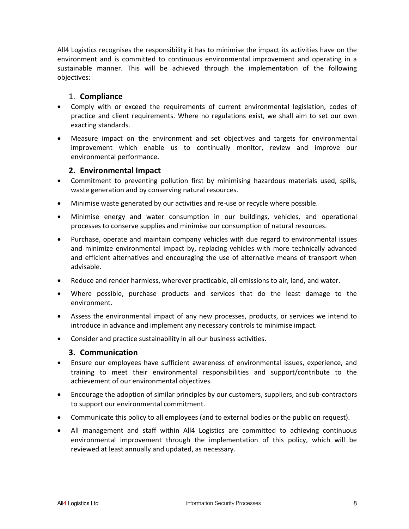All4 Logistics recognises the responsibility it has to minimise the impact its activities have on the environment and is committed to continuous environmental improvement and operating in a sustainable manner. This will be achieved through the implementation of the following objectives:

### 1. Compliance

- Comply with or exceed the requirements of current environmental legislation, codes of practice and client requirements. Where no regulations exist, we shall aim to set our own exacting standards.
- Measure impact on the environment and set objectives and targets for environmental improvement which enable us to continually monitor, review and improve our environmental performance.

### 2. Environmental Impact

- Commitment to preventing pollution first by minimising hazardous materials used, spills, waste generation and by conserving natural resources.
- Minimise waste generated by our activities and re-use or recycle where possible.
- Minimise energy and water consumption in our buildings, vehicles, and operational processes to conserve supplies and minimise our consumption of natural resources.
- Purchase, operate and maintain company vehicles with due regard to environmental issues and minimize environmental impact by, replacing vehicles with more technically advanced and efficient alternatives and encouraging the use of alternative means of transport when advisable.
- Reduce and render harmless, wherever practicable, all emissions to air, land, and water.
- Where possible, purchase products and services that do the least damage to the environment.
- Assess the environmental impact of any new processes, products, or services we intend to introduce in advance and implement any necessary controls to minimise impact.
- Consider and practice sustainability in all our business activities.

#### 3. Communication

- Ensure our employees have sufficient awareness of environmental issues, experience, and training to meet their environmental responsibilities and support/contribute to the achievement of our environmental objectives.
- Encourage the adoption of similar principles by our customers, suppliers, and sub-contractors to support our environmental commitment.
- Communicate this policy to all employees (and to external bodies or the public on request).
- All management and staff within All4 Logistics are committed to achieving continuous environmental improvement through the implementation of this policy, which will be reviewed at least annually and updated, as necessary.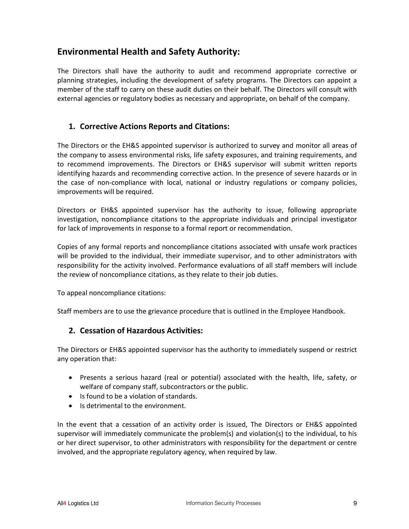## Environmental Health and Safety Authority:

The Directors shall have the authority to audit and recommend appropriate corrective or planning strategies, including the development of safety programs. The Directors can appoint a member of the staff to carry on these audit duties on their behalf. The Directors will consult with external agencies or regulatory bodies as necessary and appropriate, on behalf of the company.

## 1. Corrective Actions Reports and Citations:

The Directors or the EH&S appointed supervisor is authorized to survey and monitor all areas of the company to assess environmental risks, life safety exposures, and training requirements, and to recommend improvements. The Directors or EH&S supervisor will submit written reports identifying hazards and recommending corrective action. In the presence of severe hazards or in the case of non-compliance with local, national or industry regulations or company policies, improvements will be required.

Directors or EH&S appointed supervisor has the authority to issue, following appropriate investigation, noncompliance citations to the appropriate individuals and principal investigator for lack of improvements in response to a formal report or recommendation.

Copies of any formal reports and noncompliance citations associated with unsafe work practices will be provided to the individual, their immediate supervisor, and to other administrators with responsibility for the activity involved. Performance evaluations of all staff members will include the review of noncompliance citations, as they relate to their job duties.

To appeal noncompliance citations:

Staff members are to use the grievance procedure that is outlined in the Employee Handbook.

### 2. Cessation of Hazardous Activities:

The Directors or EH&S appointed supervisor has the authority to immediately suspend or restrict any operation that:

- Presents a serious hazard (real or potential) associated with the health, life, safety, or welfare of company staff, subcontractors or the public.
- Is found to be a violation of standards.
- Is detrimental to the environment.

In the event that a cessation of an activity order is issued, The Directors or EH&S appointed supervisor will immediately communicate the problem(s) and violation(s) to the individual, to his or her direct supervisor, to other administrators with responsibility for the department or centre involved, and the appropriate regulatory agency, when required by law.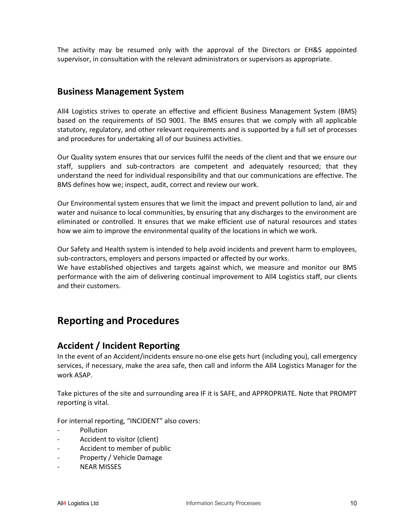The activity may be resumed only with the approval of the Directors or EH&S appointed supervisor, in consultation with the relevant administrators or supervisors as appropriate.

## Business Management System

All4 Logistics strives to operate an effective and efficient Business Management System (BMS) based on the requirements of ISO 9001. The BMS ensures that we comply with all applicable statutory, regulatory, and other relevant requirements and is supported by a full set of processes and procedures for undertaking all of our business activities.

Our Quality system ensures that our services fulfil the needs of the client and that we ensure our staff, suppliers and sub-contractors are competent and adequately resourced; that they understand the need for individual responsibility and that our communications are effective. The BMS defines how we; inspect, audit, correct and review our work.

Our Environmental system ensures that we limit the impact and prevent pollution to land, air and water and nuisance to local communities, by ensuring that any discharges to the environment are eliminated or controlled. It ensures that we make efficient use of natural resources and states how we aim to improve the environmental quality of the locations in which we work.

Our Safety and Health system is intended to help avoid incidents and prevent harm to employees, sub-contractors, employers and persons impacted or affected by our works.

We have established objectives and targets against which, we measure and monitor our BMS performance with the aim of delivering continual improvement to All4 Logistics staff, our clients and their customers.

# Reporting and Procedures

## Accident / Incident Reporting

In the event of an Accident/incidents ensure no-one else gets hurt (including you), call emergency services, if necessary, make the area safe, then call and inform the All4 Logistics Manager for the work ASAP.

Take pictures of the site and surrounding area IF it is SAFE, and APPROPRIATE. Note that PROMPT reporting is vital.

For internal reporting, "INCIDENT" also covers:

- **Pollution**
- Accident to visitor (client)
- Accident to member of public
- Property / Vehicle Damage
- **NEAR MISSES**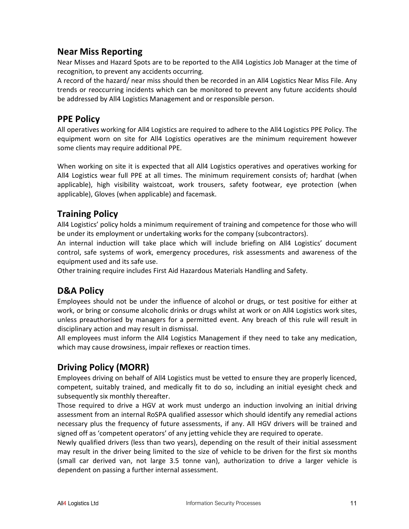## Near Miss Reporting

Near Misses and Hazard Spots are to be reported to the All4 Logistics Job Manager at the time of recognition, to prevent any accidents occurring.

A record of the hazard/ near miss should then be recorded in an All4 Logistics Near Miss File. Any trends or reoccurring incidents which can be monitored to prevent any future accidents should be addressed by All4 Logistics Management and or responsible person.

## PPE Policy

All operatives working for All4 Logistics are required to adhere to the All4 Logistics PPE Policy. The equipment worn on site for All4 Logistics operatives are the minimum requirement however some clients may require additional PPE.

When working on site it is expected that all All4 Logistics operatives and operatives working for All4 Logistics wear full PPE at all times. The minimum requirement consists of; hardhat (when applicable), high visibility waistcoat, work trousers, safety footwear, eye protection (when applicable), Gloves (when applicable) and facemask.

## Training Policy

All4 Logistics' policy holds a minimum requirement of training and competence for those who will be under its employment or undertaking works for the company (subcontractors).

An internal induction will take place which will include briefing on All4 Logistics' document control, safe systems of work, emergency procedures, risk assessments and awareness of the equipment used and its safe use.

Other training require includes First Aid Hazardous Materials Handling and Safety.

## D&A Policy

Employees should not be under the influence of alcohol or drugs, or test positive for either at work, or bring or consume alcoholic drinks or drugs whilst at work or on All4 Logistics work sites, unless preauthorised by managers for a permitted event. Any breach of this rule will result in disciplinary action and may result in dismissal.

All employees must inform the All4 Logistics Management if they need to take any medication, which may cause drowsiness, impair reflexes or reaction times.

## Driving Policy (MORR)

Employees driving on behalf of All4 Logistics must be vetted to ensure they are properly licenced, competent, suitably trained, and medically fit to do so, including an initial eyesight check and subsequently six monthly thereafter.

Those required to drive a HGV at work must undergo an induction involving an initial driving assessment from an internal RoSPA qualified assessor which should identify any remedial actions necessary plus the frequency of future assessments, if any. All HGV drivers will be trained and signed off as 'competent operators' of any jetting vehicle they are required to operate.

Newly qualified drivers (less than two years), depending on the result of their initial assessment may result in the driver being limited to the size of vehicle to be driven for the first six months (small car derived van, not large 3.5 tonne van), authorization to drive a larger vehicle is dependent on passing a further internal assessment.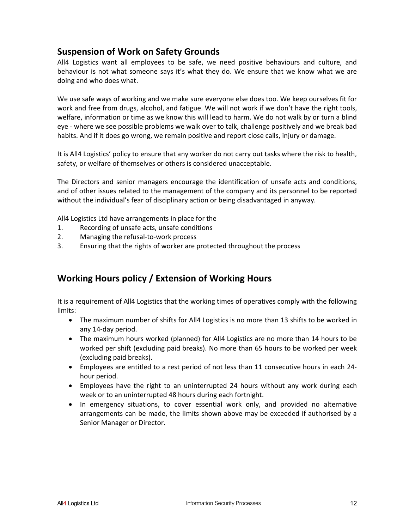## Suspension of Work on Safety Grounds

All4 Logistics want all employees to be safe, we need positive behaviours and culture, and behaviour is not what someone says it's what they do. We ensure that we know what we are doing and who does what.

We use safe ways of working and we make sure everyone else does too. We keep ourselves fit for work and free from drugs, alcohol, and fatigue. We will not work if we don't have the right tools, welfare, information or time as we know this will lead to harm. We do not walk by or turn a blind eye - where we see possible problems we walk over to talk, challenge positively and we break bad habits. And if it does go wrong, we remain positive and report close calls, injury or damage.

It is All4 Logistics' policy to ensure that any worker do not carry out tasks where the risk to health, safety, or welfare of themselves or others is considered unacceptable.

The Directors and senior managers encourage the identification of unsafe acts and conditions, and of other issues related to the management of the company and its personnel to be reported without the individual's fear of disciplinary action or being disadvantaged in anyway.

All4 Logistics Ltd have arrangements in place for the

- 1. Recording of unsafe acts, unsafe conditions
- 2. Managing the refusal-to-work process
- 3. Ensuring that the rights of worker are protected throughout the process

## Working Hours policy / Extension of Working Hours

It is a requirement of All4 Logistics that the working times of operatives comply with the following limits:

- The maximum number of shifts for All4 Logistics is no more than 13 shifts to be worked in any 14-day period.
- The maximum hours worked (planned) for All4 Logistics are no more than 14 hours to be worked per shift (excluding paid breaks). No more than 65 hours to be worked per week (excluding paid breaks).
- Employees are entitled to a rest period of not less than 11 consecutive hours in each 24 hour period.
- Employees have the right to an uninterrupted 24 hours without any work during each week or to an uninterrupted 48 hours during each fortnight.
- In emergency situations, to cover essential work only, and provided no alternative arrangements can be made, the limits shown above may be exceeded if authorised by a Senior Manager or Director.